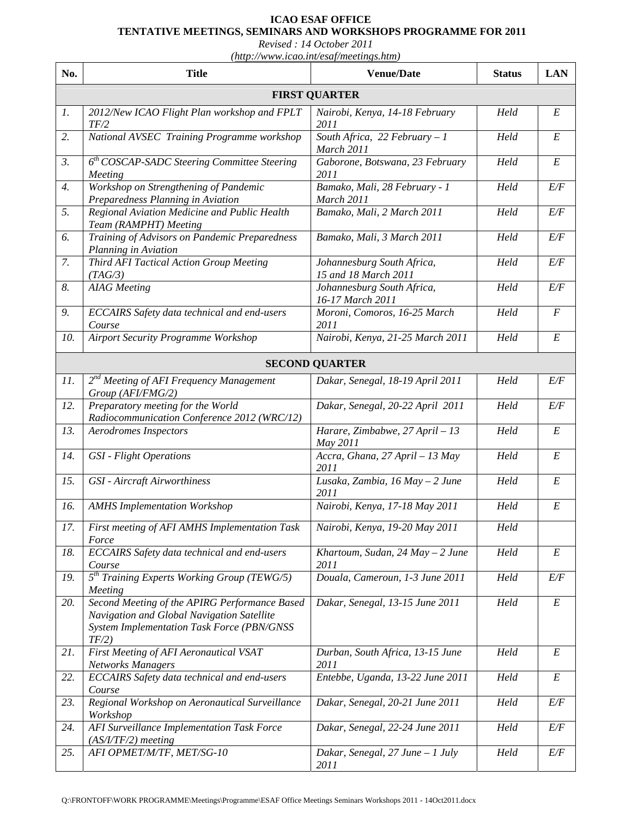## **ICAO ESAF OFFICE TENTATIVE MEETINGS, SEMINARS AND WORKSHOPS PROGRAMME FOR 2011**

*Revised : 14 October 2011* 

*(http://www.icao.int/esaf/meetings.htm)* 

| No.              | <b>Title</b>                                                                                                                                       | <b>Venue/Date</b>                                  | <b>Status</b> | <b>LAN</b>       |
|------------------|----------------------------------------------------------------------------------------------------------------------------------------------------|----------------------------------------------------|---------------|------------------|
|                  |                                                                                                                                                    | <b>FIRST QUARTER</b>                               |               |                  |
| 1.               | 2012/New ICAO Flight Plan workshop and FPLT<br>TF/2                                                                                                | Nairobi, Kenya, 14-18 February<br>2011             | Held          | E                |
| 2.               | National AVSEC Training Programme workshop                                                                                                         | South Africa, 22 February $-1$<br>March 2011       | Held          | $\cal E$         |
| 3.               | $6th COSCAP-SADC Steering Committee Steering$<br>Meeting                                                                                           | Gaborone, Botswana, 23 February<br>2011            | Held          | E                |
| $\overline{4}$ . | Workshop on Strengthening of Pandemic<br>Preparedness Planning in Aviation                                                                         | Bamako, Mali, 28 February - 1<br>March 2011        | Held          | E/F              |
| 5.               | Regional Aviation Medicine and Public Health<br>Team (RAMPHT) Meeting                                                                              | Bamako, Mali, 2 March 2011                         | Held          | E/F              |
| 6.               | Training of Advisors on Pandemic Preparedness<br>Planning in Aviation                                                                              | Bamako, Mali, 3 March 2011                         | Held          | E/F              |
| 7.               | Third AFI Tactical Action Group Meeting<br>(TAG/3)                                                                                                 | Johannesburg South Africa,<br>15 and 18 March 2011 | Held          | E/F              |
| 8.               | <b>AIAG</b> Meeting                                                                                                                                | Johannesburg South Africa,<br>16-17 March 2011     | Held          | E/F              |
| 9.               | ECCAIRS Safety data technical and end-users<br>Course                                                                                              | Moroni, Comoros, 16-25 March<br>2011               | Held          | $\boldsymbol{F}$ |
| 10.              | <b>Airport Security Programme Workshop</b>                                                                                                         | Nairobi, Kenya, 21-25 March 2011                   | Held          | E                |
|                  |                                                                                                                                                    | <b>SECOND QUARTER</b>                              |               |                  |
| 11.              | 2 <sup>nd</sup> Meeting of AFI Frequency Management<br>Group (AFI/FMG/2)                                                                           | Dakar, Senegal, 18-19 April 2011                   | Held          | E/F              |
| 12.              | Preparatory meeting for the World<br>Radiocommunication Conference 2012 (WRC/12)                                                                   | Dakar, Senegal, 20-22 April 2011                   | Held          | E/F              |
| 13.              | <b>Aerodromes Inspectors</b>                                                                                                                       | Harare, Zimbabwe, 27 April - 13<br>May 2011        | Held          | $\cal E$         |
| 14.              | <b>GSI</b> - Flight Operations                                                                                                                     | Accra, Ghana, 27 April - 13 May<br>2011            | Held          | E                |
| 15.              | <b>GSI</b> - Aircraft Airworthiness                                                                                                                | Lusaka, Zambia, 16 May - 2 June<br>2011            | Held          | $\cal E$         |
| 16.              | <b>AMHS Implementation Workshop</b>                                                                                                                | Nairobi, Kenya, 17-18 May 2011                     | Held          | $E\,$            |
| 17.              | First meeting of AFI AMHS Implementation Task<br>Force                                                                                             | Nairobi, Kenya, 19-20 May 2011                     | Held          |                  |
| 18.              | <b>ECCAIRS</b> Safety data technical and end-users<br>Course                                                                                       | Khartoum, Sudan, $24$ May $-2$ June<br>2011        | Held          | E                |
| 19.              | $5^{th}$ Training Experts Working Group (TEWG/5)<br>Meeting                                                                                        | Douala, Cameroun, 1-3 June 2011                    | Held          | E/F              |
| 20.              | Second Meeting of the APIRG Performance Based<br>Navigation and Global Navigation Satellite<br>System Implementation Task Force (PBN/GNSS<br>TF/2) | Dakar, Senegal, 13-15 June 2011                    | Held          | $E_{\rm}$        |
| 21.              | First Meeting of AFI Aeronautical VSAT<br><b>Networks Managers</b>                                                                                 | Durban, South Africa, 13-15 June<br>2011           | Held          | $E_{\rm}$        |
| 22.              | <b>ECCAIRS</b> Safety data technical and end-users<br>Course                                                                                       | Entebbe, Uganda, 13-22 June 2011                   | Held          | E                |
| 23.              | Regional Workshop on Aeronautical Surveillance<br>Workshop                                                                                         | Dakar, Senegal, 20-21 June 2011                    | Held          | E/F              |
| 24.              | AFI Surveillance Implementation Task Force<br>$(AS/I/TF/2)$ meeting                                                                                | Dakar, Senegal, 22-24 June 2011                    | Held          | E/F              |
| 25.              | AFI OPMET/M/TF, MET/SG-10                                                                                                                          | Dakar, Senegal, $27$ June $-1$ July<br>2011        | Held          | E/F              |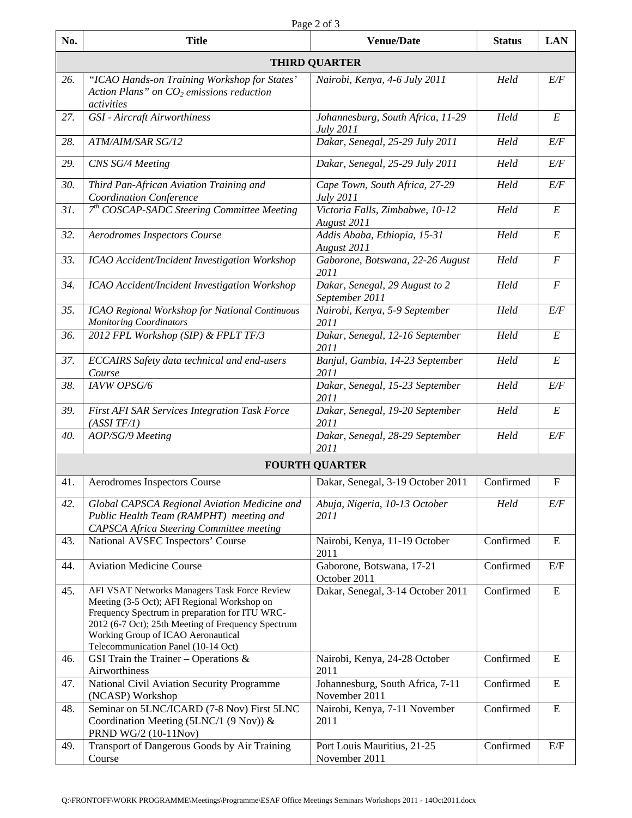| No. | <b>Title</b>                                                                                                                                                                                                                                                                     | <b>Venue/Date</b>                                 | <b>Status</b> | <b>LAN</b>       |  |  |  |
|-----|----------------------------------------------------------------------------------------------------------------------------------------------------------------------------------------------------------------------------------------------------------------------------------|---------------------------------------------------|---------------|------------------|--|--|--|
|     | <b>THIRD QUARTER</b>                                                                                                                                                                                                                                                             |                                                   |               |                  |  |  |  |
| 26. | "ICAO Hands-on Training Workshop for States'<br>Action Plans" on $CO2$ emissions reduction<br>activities                                                                                                                                                                         | Nairobi, Kenya, 4-6 July 2011                     | Held          | E/F              |  |  |  |
| 27. | <b>GSI</b> - Aircraft Airworthiness                                                                                                                                                                                                                                              | Johannesburg, South Africa, 11-29<br>July 2011    | Held          | E                |  |  |  |
| 28. | ATM/AIM/SAR SG/12                                                                                                                                                                                                                                                                | Dakar, Senegal, 25-29 July 2011                   | Held          | E/F              |  |  |  |
| 29. | CNS SG/4 Meeting                                                                                                                                                                                                                                                                 | Dakar, Senegal, 25-29 July 2011                   | Held          | E/F              |  |  |  |
| 30. | Third Pan-African Aviation Training and<br>Coordination Conference                                                                                                                                                                                                               | Cape Town, South Africa, 27-29<br>July 2011       | Held          | E/F              |  |  |  |
| 31. | $7th COSCAP-SADC Steering Committee Meeting$                                                                                                                                                                                                                                     | Victoria Falls, Zimbabwe, 10-12<br>August 2011    | Held          | E                |  |  |  |
| 32. | Aerodromes Inspectors Course                                                                                                                                                                                                                                                     | Addis Ababa, Ethiopia, 15-31<br>August 2011       | Held          | E                |  |  |  |
| 33. | ICAO Accident/Incident Investigation Workshop                                                                                                                                                                                                                                    | Gaborone, Botswana, 22-26 August<br>2011          | Held          | $\cal F$         |  |  |  |
| 34. | ICAO Accident/Incident Investigation Workshop                                                                                                                                                                                                                                    | Dakar, Senegal, 29 August to 2<br>September 2011  | Held          | $\boldsymbol{F}$ |  |  |  |
| 35. | ICAO Regional Workshop for National Continuous<br><b>Monitoring Coordinators</b>                                                                                                                                                                                                 | Nairobi, Kenya, 5-9 September<br>2011             | Held          | E/F              |  |  |  |
| 36. | 2012 FPL Workshop (SIP) & FPLT TF/3                                                                                                                                                                                                                                              | Dakar, Senegal, 12-16 September<br>2011           | Held          | $\cal E$         |  |  |  |
| 37. | ECCAIRS Safety data technical and end-users<br>Course                                                                                                                                                                                                                            | Banjul, Gambia, 14-23 September<br>2011           | Held          | E                |  |  |  |
| 38. | <b>IAVW OPSG/6</b>                                                                                                                                                                                                                                                               | Dakar, Senegal, 15-23 September<br>2011           | Held          | E/F              |  |  |  |
| 39. | First AFI SAR Services Integration Task Force<br>(ASSI TF/1)                                                                                                                                                                                                                     | Dakar, Senegal, 19-20 September<br>2011           | Held          | $\cal E$         |  |  |  |
| 40. | AOP/SG/9 Meeting                                                                                                                                                                                                                                                                 | Dakar, Senegal, 28-29 September<br>2011           | Held          | E/F              |  |  |  |
|     |                                                                                                                                                                                                                                                                                  | <b>FOURTH QUARTER</b>                             |               |                  |  |  |  |
| 41. | Aerodromes Inspectors Course                                                                                                                                                                                                                                                     | Dakar, Senegal, 3-19 October 2011                 | Confirmed     | $\mathbf F$      |  |  |  |
| 42. | Global CAPSCA Regional Aviation Medicine and<br>Public Health Team (RAMPHT) meeting and<br>CAPSCA Africa Steering Committee meeting                                                                                                                                              | Abuja, Nigeria, 10-13 October<br>2011             | Held          | E/F              |  |  |  |
| 43. | National AVSEC Inspectors' Course                                                                                                                                                                                                                                                | Nairobi, Kenya, 11-19 October<br>2011             | Confirmed     | E                |  |  |  |
| 44. | <b>Aviation Medicine Course</b>                                                                                                                                                                                                                                                  | Gaborone, Botswana, 17-21<br>October 2011         | Confirmed     | E/F              |  |  |  |
| 45. | AFI VSAT Networks Managers Task Force Review<br>Meeting (3-5 Oct); AFI Regional Workshop on<br>Frequency Spectrum in preparation for ITU WRC-<br>2012 (6-7 Oct); 25th Meeting of Frequency Spectrum<br>Working Group of ICAO Aeronautical<br>Telecommunication Panel (10-14 Oct) | Dakar, Senegal, 3-14 October 2011                 | Confirmed     | ${\bf E}$        |  |  |  |
| 46. | GSI Train the Trainer – Operations $\&$<br>Airworthiness                                                                                                                                                                                                                         | Nairobi, Kenya, 24-28 October<br>2011             | Confirmed     | E                |  |  |  |
| 47. | National Civil Aviation Security Programme<br>(NCASP) Workshop                                                                                                                                                                                                                   | Johannesburg, South Africa, 7-11<br>November 2011 | Confirmed     | ${\bf E}$        |  |  |  |
| 48. | Seminar on 5LNC/ICARD (7-8 Nov) First 5LNC<br>Coordination Meeting (5LNC/1 (9 Nov)) $\&$<br>PRND WG/2 (10-11Nov)                                                                                                                                                                 | Nairobi, Kenya, 7-11 November<br>2011             | Confirmed     | $\mathbf E$      |  |  |  |
| 49. | Transport of Dangerous Goods by Air Training<br>Course                                                                                                                                                                                                                           | Port Louis Mauritius, 21-25<br>November 2011      | Confirmed     | E/F              |  |  |  |